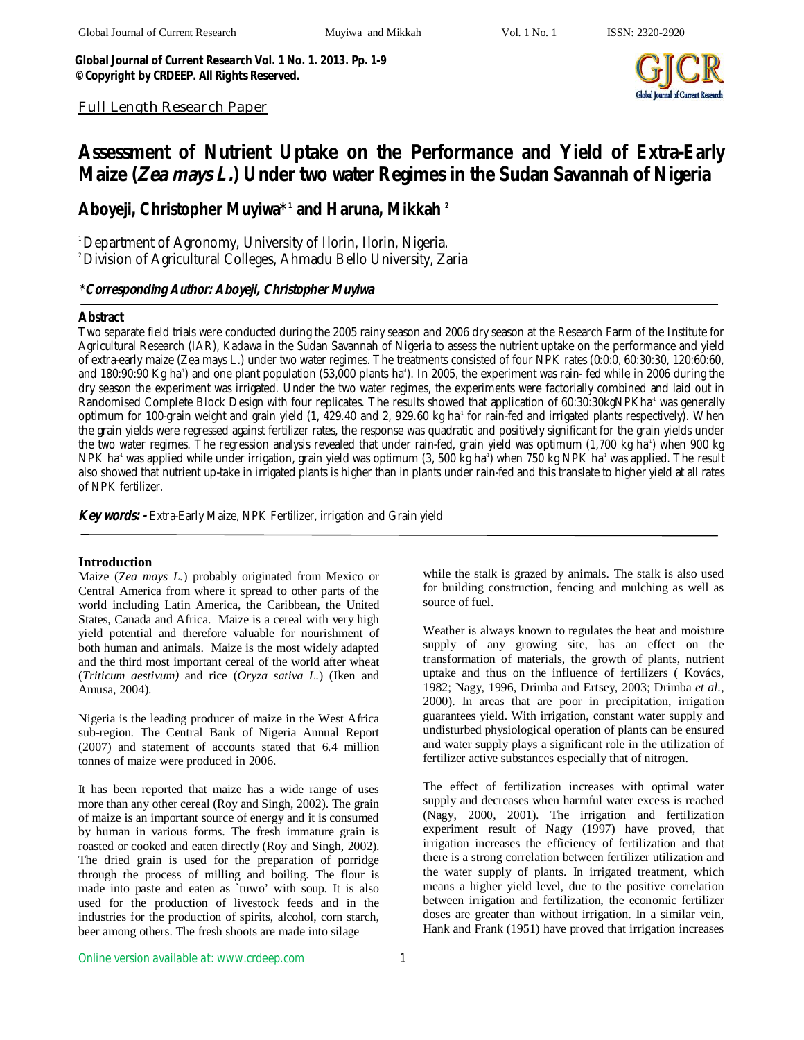*Global Journal of Current Research Vol. 1 No. 1. 2013. Pp. 1-9 ©Copyright by CRDEEP. All Rights Reserved.*



*Full Length Research Paper*

# **Assessment of Nutrient Uptake on the Performance and Yield of Extra-Early Maize (***Zea mays L.***) Under two water Regimes in the Sudan Savannah of Nigeria**

**Aboyeji, Christopher Muyiwa\*<sup>1</sup> and Haruna, Mikkah <sup>2</sup>**

*<sup>1</sup>Department of Agronomy, University of Ilorin, Ilorin, Nigeria.*

*<sup>2</sup>Division of Agricultural Colleges, Ahmadu Bello University, Zaria*

# *\*Corresponding Author: Aboyeji, Christopher Muyiwa*

## **Abstract**

*Two separate field trials were conducted during the 2005 rainy season and 2006 dry season at the Research Farm of the Institute for Agricultural Research (IAR), Kadawa in the Sudan Savannah of Nigeria to assess the nutrient uptake on the performance and yield of extra-early maize (Zea mays L.) under two water regimes. The treatments consisted of four NPK rates (0:0:0, 60:30:30, 120:60:60,*  and 180:90:90 Kg ha<sup>*1*</sup>) and one plant population (53,000 plants ha<sup>*1*</sup>). In 2005, the experiment was rain- fed while in 2006 during the *dry season the experiment was irrigated. Under the two water regimes, the experiments were factorially combined and laid out in Randomised Complete Block Design with four replicates. The results showed that application of 60:30:30kgNPKha-1 was generally optimum for 100-grain weight and grain yield (1, 429.40 and 2, 929.60 kg ha-1 for rain-fed and irrigated plants respectively). When*  the grain yields were regressed against fertilizer rates, the response was quadratic and positively significant for the grain yields under *the two water regimes. The regression analysis revealed that under rain-fed, grain yield was optimum (1,700 kg ha-1 ) when 900 kg NPK ha-1 was applied while under irrigation, grain yield was optimum (3, 500 kg ha-1 ) when 750 kg NPK ha-1 was applied. The result also showed that nutrient up-take in irrigated plants is higher than in plants under rain-fed and this translate to higher yield at all rates of NPK fertilizer.* 

*Key words: - Extra-Early Maize, NPK Fertilizer, irrigation and Grain yield*

# **Introduction**

Maize (Z*ea mays L.*) probably originated from Mexico or Central America from where it spread to other parts of the world including Latin America, the Caribbean, the United States, Canada and Africa. Maize is a cereal with very high yield potential and therefore valuable for nourishment of both human and animals. Maize is the most widely adapted and the third most important cereal of the world after wheat (*Triticum aestivum)* and rice (*Oryza sativa L.*) (Iken and Amusa, 2004).

Nigeria is the leading producer of maize in the West Africa sub-region. The Central Bank of Nigeria Annual Report (2007) and statement of accounts stated that 6.4 million tonnes of maize were produced in 2006.

It has been reported that maize has a wide range of uses more than any other cereal (Roy and Singh, 2002). The grain of maize is an important source of energy and it is consumed by human in various forms. The fresh immature grain is roasted or cooked and eaten directly (Roy and Singh, 2002). The dried grain is used for the preparation of porridge through the process of milling and boiling. The flour is made into paste and eaten as `tuwo' with soup. It is also used for the production of livestock feeds and in the industries for the production of spirits, alcohol, corn starch, beer among others. The fresh shoots are made into silage

while the stalk is grazed by animals. The stalk is also used for building construction, fencing and mulching as well as source of fuel.

Weather is always known to regulates the heat and moisture supply of any growing site, has an effect on the transformation of materials, the growth of plants, nutrient uptake and thus on the influence of fertilizers ( Kovács, 1982; Nagy, 1996, Drimba and Ertsey, 2003; Drimba *et al*., 2000). In areas that are poor in precipitation, irrigation guarantees yield. With irrigation, constant water supply and undisturbed physiological operation of plants can be ensured and water supply plays a significant role in the utilization of fertilizer active substances especially that of nitrogen.

The effect of fertilization increases with optimal water supply and decreases when harmful water excess is reached (Nagy, 2000, 2001). The irrigation and fertilization experiment result of Nagy (1997) have proved, that irrigation increases the efficiency of fertilization and that there is a strong correlation between fertilizer utilization and the water supply of plants. In irrigated treatment, which means a higher yield level, due to the positive correlation between irrigation and fertilization, the economic fertilizer doses are greater than without irrigation. In a similar vein, Hank and Frank (1951) have proved that irrigation increases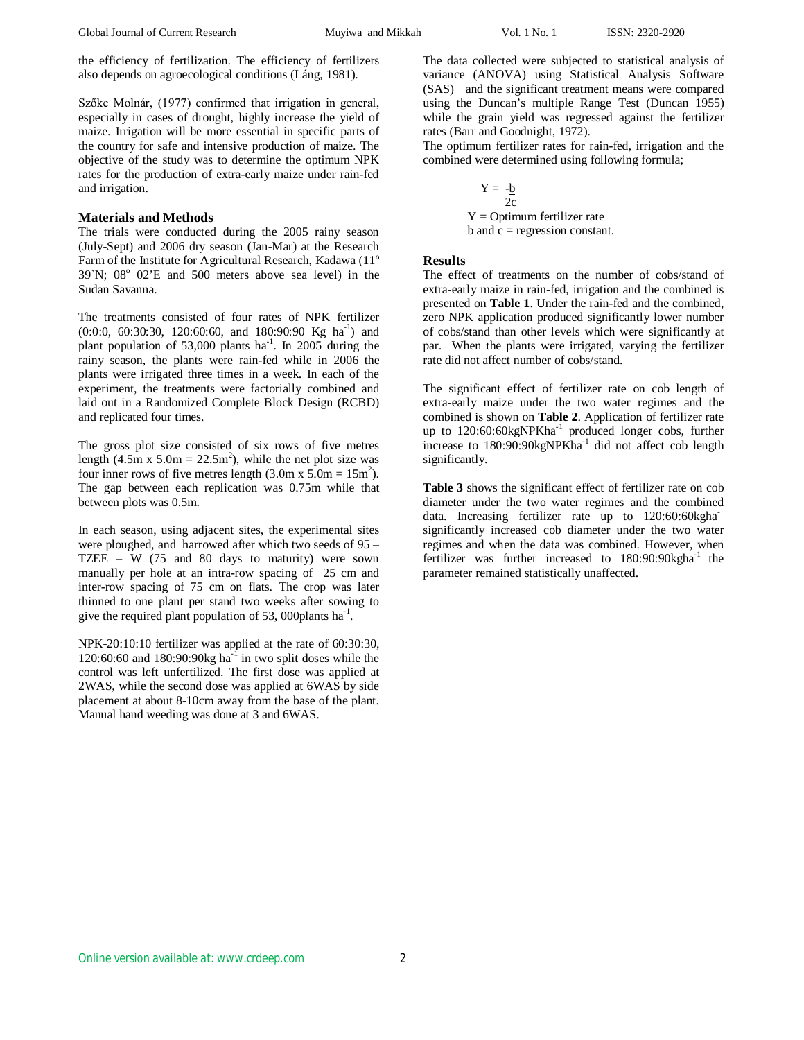the efficiency of fertilization. The efficiency of fertilizers also depends on agroecological conditions (Láng, 1981).

Szőke Molnár, (1977) confirmed that irrigation in general, especially in cases of drought, highly increase the yield of maize. Irrigation will be more essential in specific parts of the country for safe and intensive production of maize. The objective of the study was to determine the optimum NPK rates for the production of extra-early maize under rain-fed and irrigation.

### **Materials and Methods**

The trials were conducted during the 2005 rainy season (July-Sept) and 2006 dry season (Jan-Mar) at the Research Farm of the Institute for Agricultural Research, Kadawa (11° 39`N; 08 o 02'E and 500 meters above sea level) in the Sudan Savanna.

The treatments consisted of four rates of NPK fertilizer (0:0:0, 60:30:30, 120:60:60, and 180:90:90 Kg ha<sup>-1</sup>) and plant population of 53,000 plants  $ha^{-1}$ . In 2005 during the rainy season, the plants were rain-fed while in 2006 the plants were irrigated three times in a week. In each of the experiment, the treatments were factorially combined and laid out in a Randomized Complete Block Design (RCBD) and replicated four times.

The gross plot size consisted of six rows of five metres length  $(4.5 \text{ m} \times 5.0 \text{ m} = 22.5 \text{ m}^2)$ , while the net plot size was four inner rows of five metres length  $(3.0 \text{m} \times 5.0 \text{m} = 15 \text{m}^2)$ . The gap between each replication was 0.75m while that between plots was 0.5m.

In each season, using adjacent sites, the experimental sites were ploughed, and harrowed after which two seeds of 95 – TZEE – W (75 and 80 days to maturity) were sown manually per hole at an intra-row spacing of 25 cm and inter-row spacing of 75 cm on flats. The crop was later thinned to one plant per stand two weeks after sowing to give the required plant population of 53, 000 plants  $ha^{-1}$ .

NPK-20:10:10 fertilizer was applied at the rate of 60:30:30, 120:60:60 and 180:90:90 $kg$  ha<sup>-f</sup> in two split doses while the control was left unfertilized. The first dose was applied at 2WAS, while the second dose was applied at 6WAS by side placement at about 8-10cm away from the base of the plant. Manual hand weeding was done at 3 and 6WAS.

The data collected were subjected to statistical analysis of variance (ANOVA) using Statistical Analysis Software (SAS) and the significant treatment means were compared using the Duncan's multiple Range Test (Duncan 1955) while the grain yield was regressed against the fertilizer rates (Barr and Goodnight, 1972).

The optimum fertilizer rates for rain-fed, irrigation and the combined were determined using following formula;

$$
Y = -\frac{b}{2c}
$$
  
 
$$
Y = \text{Optimum fertilizer rate}
$$
  
 
$$
b \text{ and } c = \text{regression constant.}
$$

## **Results**

The effect of treatments on the number of cobs/stand of extra-early maize in rain-fed, irrigation and the combined is presented on **Table 1**. Under the rain-fed and the combined, zero NPK application produced significantly lower number of cobs/stand than other levels which were significantly at par. When the plants were irrigated, varying the fertilizer rate did not affect number of cobs/stand.

The significant effect of fertilizer rate on cob length of extra-early maize under the two water regimes and the combined is shown on **Table 2**. Application of fertilizer rate up to 120:60:60kgNPKha<sup>-1</sup> produced longer cobs, further increase to 180:90:90kgNPKha<sup>-1</sup> did not affect cob length significantly.

**Table 3** shows the significant effect of fertilizer rate on cob diameter under the two water regimes and the combined data. Increasing fertilizer rate up to  $120:60:60$  kgha<sup>-1</sup> significantly increased cob diameter under the two water regimes and when the data was combined. However, when fertilizer was further increased to  $180:90:90$  kgha<sup>-1</sup> the parameter remained statistically unaffected.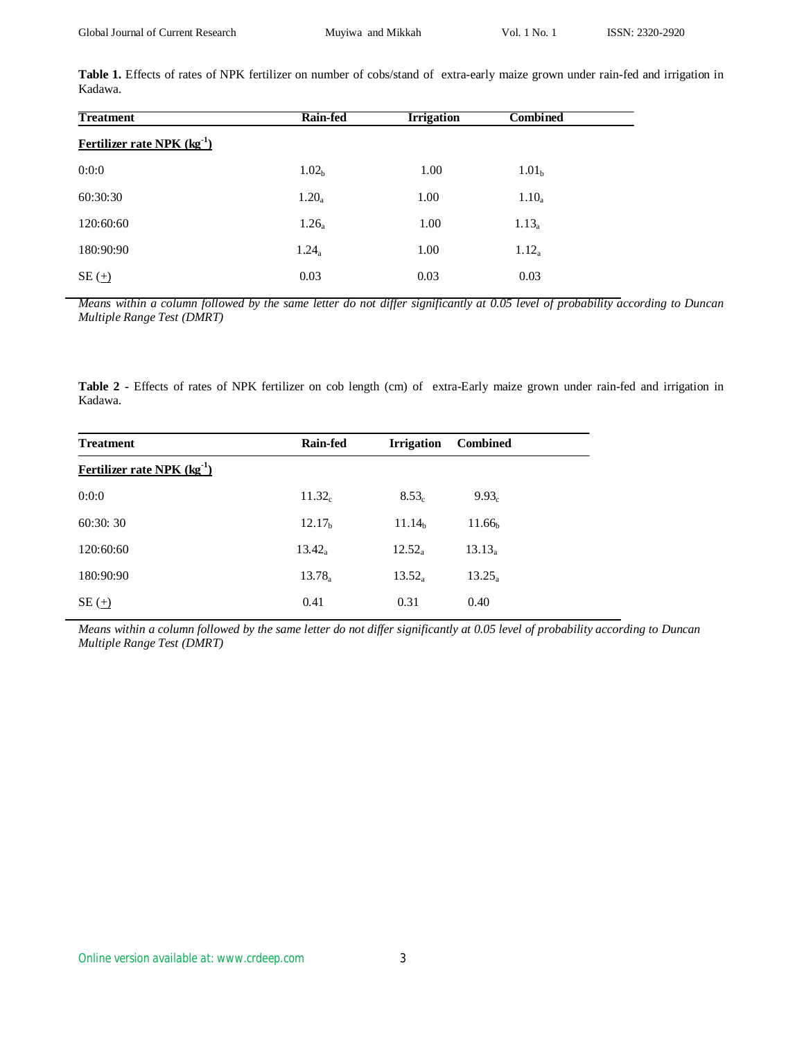Table 1. Effects of rates of NPK fertilizer on number of cobs/stand of extra-early maize grown under rain-fed and irrigation in Kadawa.

| <b>Treatment</b>                | <b>Rain-fed</b>   | <b>Irrigation</b> | Combined          |  |
|---------------------------------|-------------------|-------------------|-------------------|--|
| Fertilizer rate NPK $(kg^{-1})$ |                   |                   |                   |  |
| 0:0:0                           | 1.02 <sub>b</sub> | 1.00              | 1.01 <sub>b</sub> |  |
| 60:30:30                        | $1.20_a$          | 1.00              | $1.10_a$          |  |
| 120:60:60                       | $1.26_a$          | 1.00              | $1.13_a$          |  |
| 180:90:90                       | $1.24_a$          | 1.00              | $1.12_a$          |  |
| $SE(\underline{+)}$             | 0.03              | 0.03              | 0.03              |  |

*Means within a column followed by the same letter do not differ significantly at 0.05 level of probability according to Duncan Multiple Range Test (DMRT)*

**Table 2 -** Effects of rates of NPK fertilizer on cob length (cm) of extra-Early maize grown under rain-fed and irrigation in Kadawa.

| <b>Treatment</b>                | <b>Rain-fed</b>    | <b>Irrigation</b>  | <b>Combined</b>    |
|---------------------------------|--------------------|--------------------|--------------------|
| Fertilizer rate NPK $(kg^{-1})$ |                    |                    |                    |
| 0:0:0                           | $11.32_c$          | $8.53_c$           | $9.93_c$           |
| 60:30:30                        | 12.17 <sub>b</sub> | 11.14 <sub>b</sub> | 11.66 <sub>b</sub> |
| 120:60:60                       | $13.42_a$          | $12.52_a$          | $13.13_a$          |
| 180:90:90                       | $13.78_a$          | $13.52_a$          | $13.25_a$          |
| $SE(\underline{+})$             | 0.41               | 0.31               | 0.40               |

*Means within a column followed by the same letter do not differ significantly at 0.05 level of probability according to Duncan Multiple Range Test (DMRT)*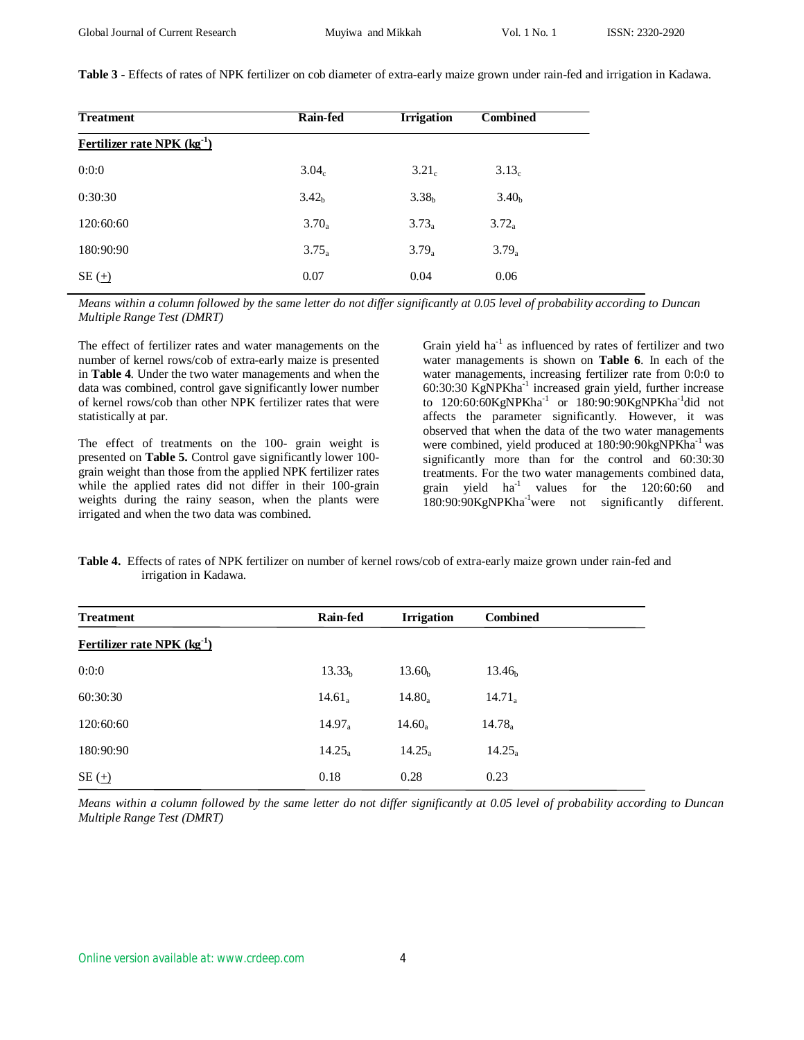**Table 3 -** Effects of rates of NPK fertilizer on cob diameter of extra-early maize grown under rain-fed and irrigation in Kadawa.

| <b>Treatment</b>                | Rain-fed          | <b>Irrigation</b> | <b>Combined</b>   |
|---------------------------------|-------------------|-------------------|-------------------|
| Fertilizer rate NPK $(kg^{-1})$ |                   |                   |                   |
| 0:0:0                           | 3.04 <sub>c</sub> | 3.21 <sub>c</sub> | 3.13 <sub>c</sub> |
| 0:30:30                         | 3.42 <sub>b</sub> | 3.38 <sub>b</sub> | 3.40 <sub>b</sub> |
| 120:60:60                       | $3.70_a$          | $3.73_a$          | $3.72_a$          |
| 180:90:90                       | $3.75_a$          | $3.79_a$          | $3.79_a$          |
| $SE(\pm)$                       | 0.07              | 0.04              | 0.06              |

*Means within a column followed by the same letter do not differ significantly at 0.05 level of probability according to Duncan Multiple Range Test (DMRT)*

The effect of fertilizer rates and water managements on the number of kernel rows/cob of extra-early maize is presented in **Table 4**. Under the two water managements and when the data was combined, control gave significantly lower number of kernel rows/cob than other NPK fertilizer rates that were statistically at par.

The effect of treatments on the 100- grain weight is presented on **Table 5.** Control gave significantly lower 100 grain weight than those from the applied NPK fertilizer rates while the applied rates did not differ in their 100-grain weights during the rainy season, when the plants were irrigated and when the two data was combined.

Grain yield  $ha^{-1}$  as influenced by rates of fertilizer and two water managements is shown on **Table 6**. In each of the water managements, increasing fertilizer rate from 0:0:0 to 60:30:30 KgNPKha-1 increased grain yield, further increase to 120:60:60KgNPKha<sup>-1</sup> or 180:90:90KgNPKha<sup>-1</sup>did not affects the parameter significantly. However, it was observed that when the data of the two water managements were combined, yield produced at 180:90:90kgNPKha<sup>-1</sup> was significantly more than for the control and 60:30:30 treatments. For the two water managements combined data, grain yield ha-1 values for the 120:60:60 and 180:90:90KgNPKha<sup>-1</sup>were not significantly different.

**Table 4.** Effects of rates of NPK fertilizer on number of kernel rows/cob of extra-early maize grown under rain-fed and irrigation in Kadawa.

| <b>Treatment</b>                | <b>Rain-fed</b>    | <b>Irrigation</b>  | <b>Combined</b>    |
|---------------------------------|--------------------|--------------------|--------------------|
| Fertilizer rate NPK $(kg^{-1})$ |                    |                    |                    |
| 0:0:0                           | 13.33 <sub>b</sub> | 13.60 <sub>b</sub> | 13.46 <sub>b</sub> |
| 60:30:30                        | $14.61_a$          | $14.80_a$          | $14.71_a$          |
| 120:60:60                       | $14.97_a$          | $14.60_a$          | $14.78_a$          |
| 180:90:90                       | $14.25_a$          | $14.25_a$          | $14.25_a$          |
| $SE(\pm)$                       | 0.18               | 0.28               | 0.23               |

*Means within a column followed by the same letter do not differ significantly at 0.05 level of probability according to Duncan Multiple Range Test (DMRT)*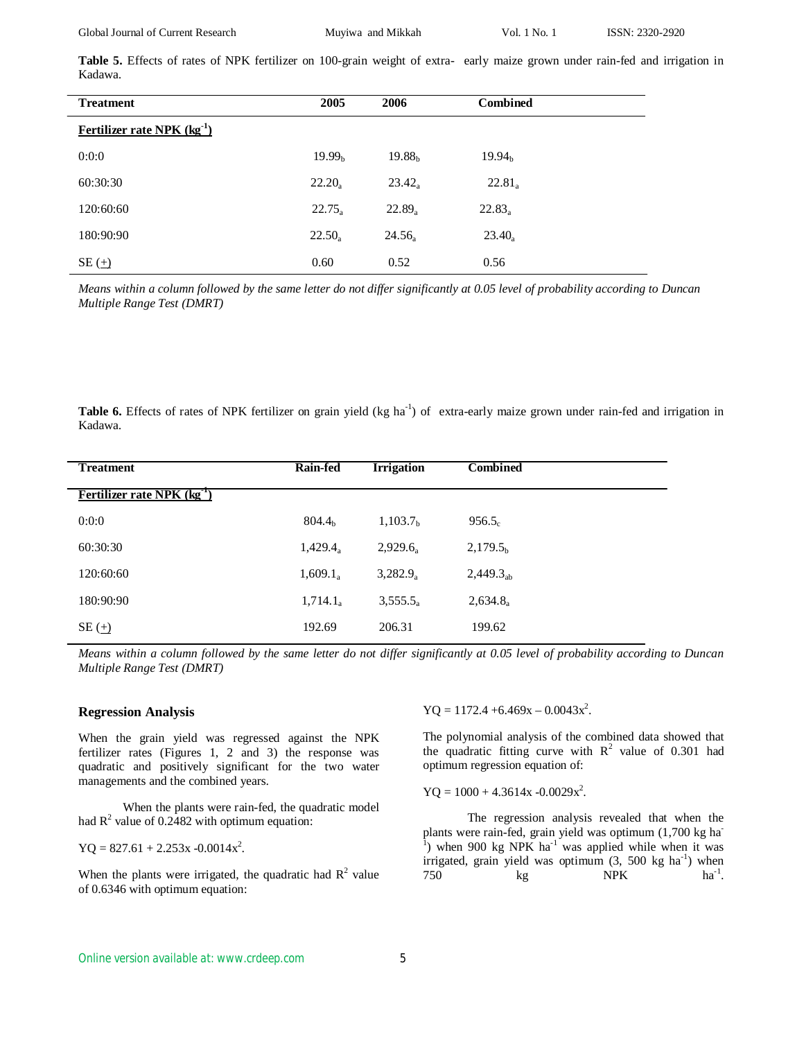Global Journal of Current Research Muyiwa and Mikkah Vol. 1 No. 1 ISSN: 2320-2920

**Table 5.** Effects of rates of NPK fertilizer on 100-grain weight of extra- early maize grown under rain-fed and irrigation in Kadawa.

| <b>Treatment</b>                | 2005               | 2006               | <b>Combined</b>    |  |
|---------------------------------|--------------------|--------------------|--------------------|--|
| Fertilizer rate NPK $(kg^{-1})$ |                    |                    |                    |  |
| 0:0:0                           | 19.99 <sub>b</sub> | 19.88 <sub>b</sub> | 19.94 <sub>b</sub> |  |
| 60:30:30                        | $22.20_a$          | $23.42_a$          | $22.81_a$          |  |
| 120:60:60                       | $22.75_a$          | $22.89_a$          | $22.83_a$          |  |
| 180:90:90                       | $22.50_a$          | 24.56              | $23.40_a$          |  |
| $SE(\underline{+})$             | 0.60               | 0.52               | 0.56               |  |

*Means within a column followed by the same letter do not differ significantly at 0.05 level of probability according to Duncan Multiple Range Test (DMRT)*

Table 6. Effects of rates of NPK fertilizer on grain yield (kg ha<sup>-1</sup>) of extra-early maize grown under rain-fed and irrigation in Kadawa.

| <b>Treatment</b>                | <b>Rain-fed</b>    | <b>Irrigation</b>    | <b>Combined</b>      |
|---------------------------------|--------------------|----------------------|----------------------|
| Fertilizer rate NPK $(kg^{-1})$ |                    |                      |                      |
| 0:0:0                           | 804.4 <sub>h</sub> | 1,103.7 <sub>b</sub> | $956.5_c$            |
| 60:30:30                        | $1,429.4_a$        | $2,929.6_a$          | 2,179.5 <sub>b</sub> |
| 120:60:60                       | $1,609.1_a$        | $3,282.9_a$          | $2,449.3_{ab}$       |
| 180:90:90                       | $1,714.1_a$        | 3,555.5 <sub>a</sub> | $2,634.8_a$          |
| $SE(\underline{+)}$             | 192.69             | 206.31               | 199.62               |

*Means within a column followed by the same letter do not differ significantly at 0.05 level of probability according to Duncan Multiple Range Test (DMRT)*

#### **Regression Analysis**

When the grain yield was regressed against the NPK fertilizer rates (Figures 1, 2 and 3) the response was quadratic and positively significant for the two water managements and the combined years.

When the plants were rain-fed, the quadratic model had  $R^2$  value of 0.2482 with optimum equation:

 $YQ = 827.61 + 2.253x - 0.0014x^2$ .

When the plants were irrigated, the quadratic had  $R^2$  value of 0.6346 with optimum equation:

 $YQ = 1172.4 + 6.469x - 0.0043x^2$ .

The polynomial analysis of the combined data showed that the quadratic fitting curve with  $R^2$  value of 0.301 had optimum regression equation of:

 $YQ = 1000 + 4.3614x - 0.0029x^2$ .

The regression analysis revealed that when the plants were rain-fed, grain yield was optimum  $(1,700 \text{ kg ha}^{-1})$  when 900 kg NPK ha<sup>-1</sup> was applied while when it was irrigated, grain yield was optimum  $(3, 500 \text{ kg ha}^{-1})$  when  $750$  kg NPK ha<sup>-1</sup>  $ha^{-1}$ .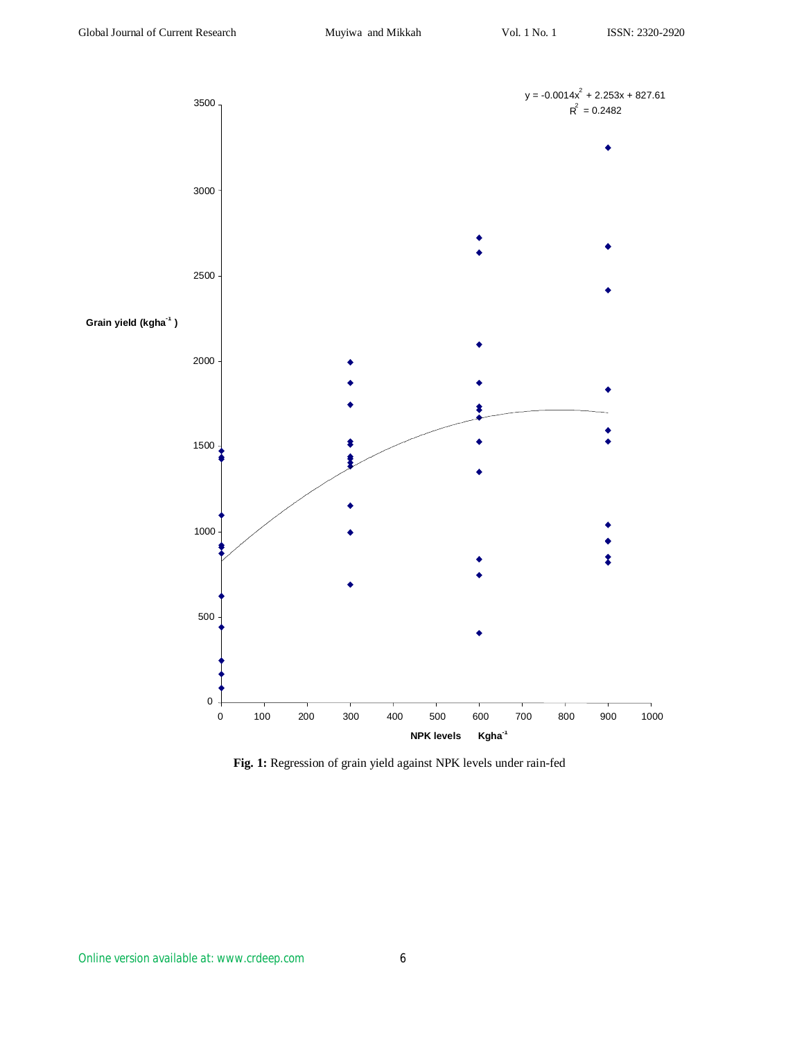

**Fig. 1:** Regression of grain yield against NPK levels under rain-fed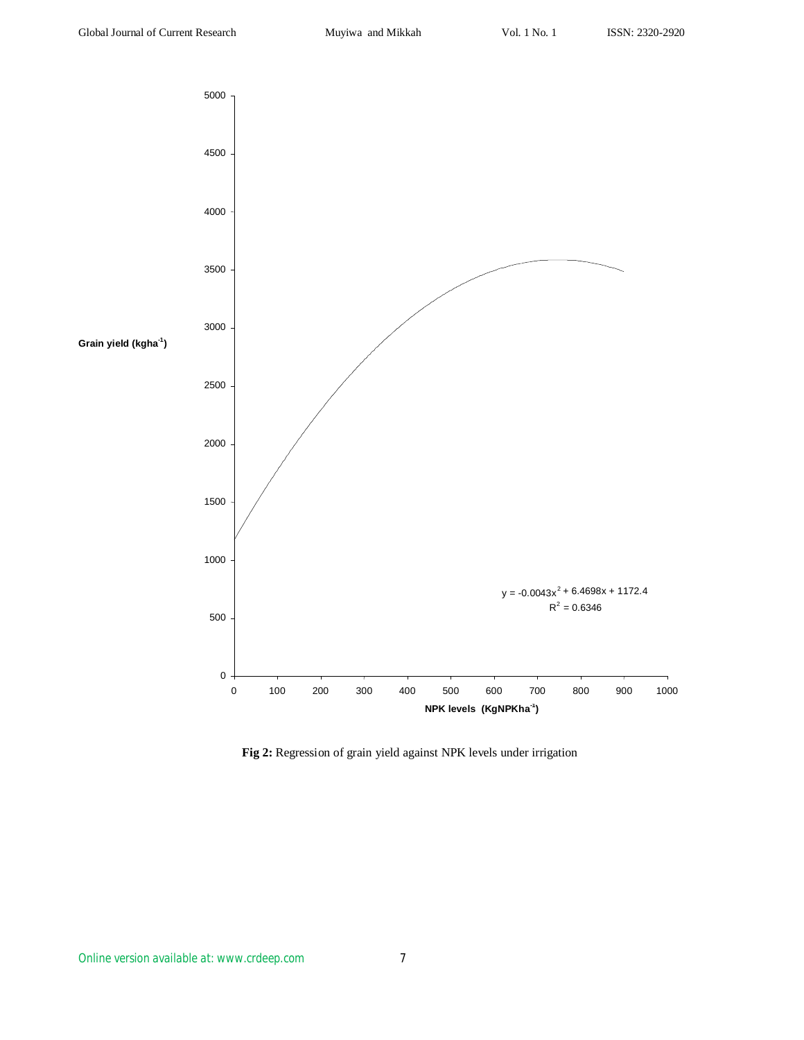

**Fig 2:** Regression of grain yield against NPK levels under irrigation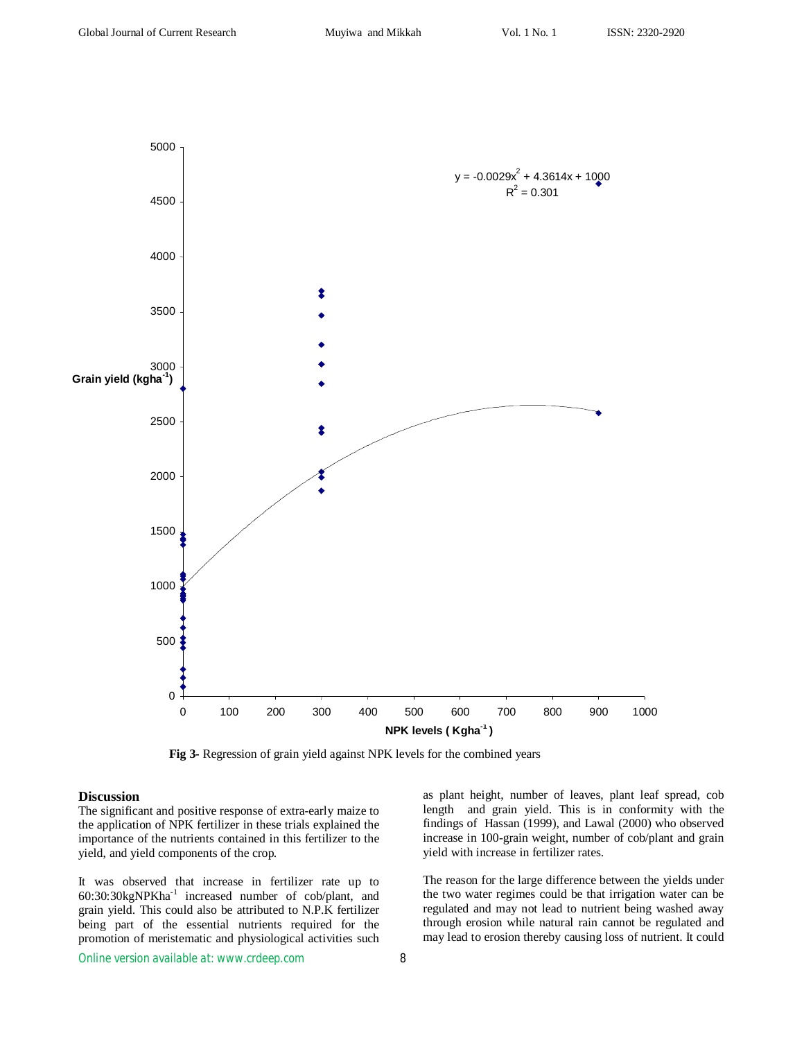

 **Fig 3-** Regression of grain yield against NPK levels for the combined years

#### **Discussion**

The significant and positive response of extra-early maize to the application of NPK fertilizer in these trials explained the importance of the nutrients contained in this fertilizer to the yield, and yield components of the crop.

It was observed that increase in fertilizer rate up to 60:30:30kgNPKha-1 increased number of cob/plant, and grain yield. This could also be attributed to N.P.K fertilizer being part of the essential nutrients required for the promotion of meristematic and physiological activities such

as plant height, number of leaves, plant leaf spread, cob length and grain yield. This is in conformity with the findings of Hassan (1999), and Lawal (2000) who observed increase in 100-grain weight, number of cob/plant and grain yield with increase in fertilizer rates.

The reason for the large difference between the yields under the two water regimes could be that irrigation water can be regulated and may not lead to nutrient being washed away through erosion while natural rain cannot be regulated and may lead to erosion thereby causing loss of nutrient. It could

*Online version available at: www.crdeep.com* 8